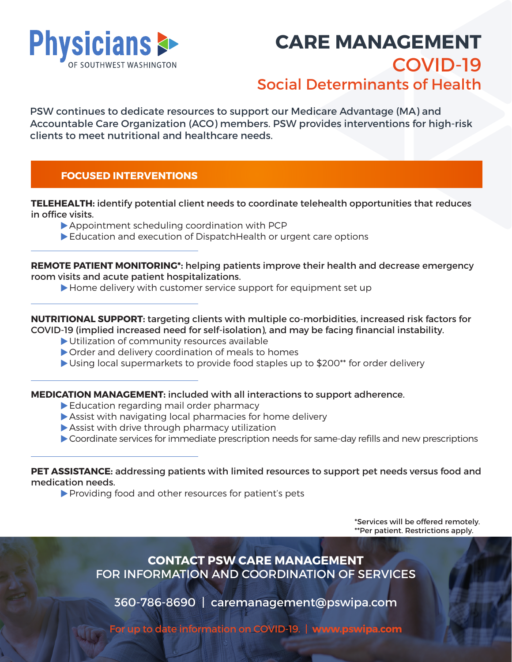

# **CARE MANAGEMENT** COVID-19 Social Determinants of Health

PSW continues to dedicate resources to support our Medicare Advantage (MA) and Accountable Care Organization (ACO) members. PSW provides interventions for high-risk clients to meet nutritional and healthcare needs.

# **FOCUSED INTERVENTIONS**

**TELEHEALTH:** identify potential client needs to coordinate telehealth opportunities that reduces in office visits.

- Appointment scheduling coordination with PCP
- Education and execution of DispatchHealth or urgent care options

**REMOTE PATIENT MONITORING\*:** helping patients improve their health and decrease emergency room visits and acute patient hospitalizations.

Home delivery with customer service support for equipment set up

#### **NUTRITIONAL SUPPORT:** targeting clients with multiple co-morbidities, increased risk factors for COVID-19 (implied increased need for self-isolation), and may be facing financial instability.

- Utilization of community resources available
- Order and delivery coordination of meals to homes
- Using local supermarkets to provide food staples up to \$200\*\* for order delivery

#### **MEDICATION MANAGEMENT:** included with all interactions to support adherence.

- Education regarding mail order pharmacy
- Assist with navigating local pharmacies for home delivery
- Assist with drive through pharmacy utilization
- Coordinate services for immediate prescription needs for same-day refills and new prescriptions

#### **PET ASSISTANCE:** addressing patients with limited resources to support pet needs versus food and medication needs.

Providing food and other resources for patient's pets

\*Services will be offered remotely. \*\*Per patient. Restrictions apply.

**CONTACT PSW CARE MANAGEMENT** FOR INFORMATION AND COORDINATION OF SERVICES

360-786-8690 | caremanagement@pswipa.com

For up to date information on COVID-19. | **www.pswipa.com**